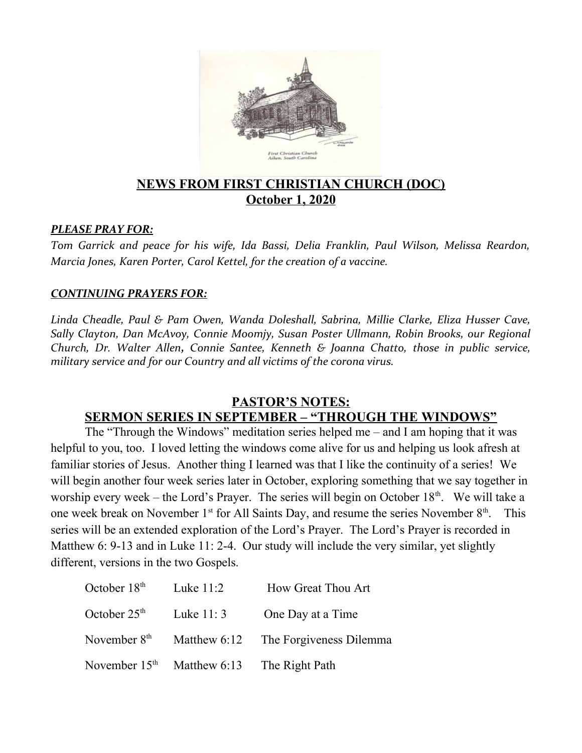

### **NEWS FROM FIRST CHRISTIAN CHURCH (DOC) October 1, 2020**

#### *PLEASE PRAY FOR:*

*Tom Garrick and peace for his wife, Ida Bassi, Delia Franklin, Paul Wilson, Melissa Reardon, Marcia Jones, Karen Porter, Carol Kettel, for the creation of a vaccine.*

#### *CONTINUING PRAYERS FOR:*

*Linda Cheadle, Paul & Pam Owen, Wanda Doleshall, Sabrina, Millie Clarke, Eliza Husser Cave, Sally Clayton, Dan McAvoy, Connie Moomjy, Susan Poster Ullmann, Robin Brooks, our Regional Church, Dr. Walter Allen, Connie Santee, Kenneth & Joanna Chatto, those in public service, military service and for our Country and all victims of the corona virus.* 

#### **PASTOR'S NOTES:**

### **SERMON SERIES IN SEPTEMBER – "THROUGH THE WINDOWS"**

The "Through the Windows" meditation series helped me – and I am hoping that it was helpful to you, too. I loved letting the windows come alive for us and helping us look afresh at familiar stories of Jesus. Another thing I learned was that I like the continuity of a series! We will begin another four week series later in October, exploring something that we say together in worship every week – the Lord's Prayer. The series will begin on October  $18<sup>th</sup>$ . We will take a one week break on November  $1<sup>st</sup>$  for All Saints Day, and resume the series November  $8<sup>th</sup>$ . This series will be an extended exploration of the Lord's Prayer. The Lord's Prayer is recorded in Matthew 6: 9-13 and in Luke 11: 2-4. Our study will include the very similar, yet slightly different, versions in the two Gospels.

| October $18th$  | Luke $11:2$                 | How Great Thou Art      |
|-----------------|-----------------------------|-------------------------|
| October $25th$  | Luke $11:3$                 | One Day at a Time       |
| November $8th$  | Matthew 6:12                | The Forgiveness Dilemma |
| November $15th$ | Matthew 6:13 The Right Path |                         |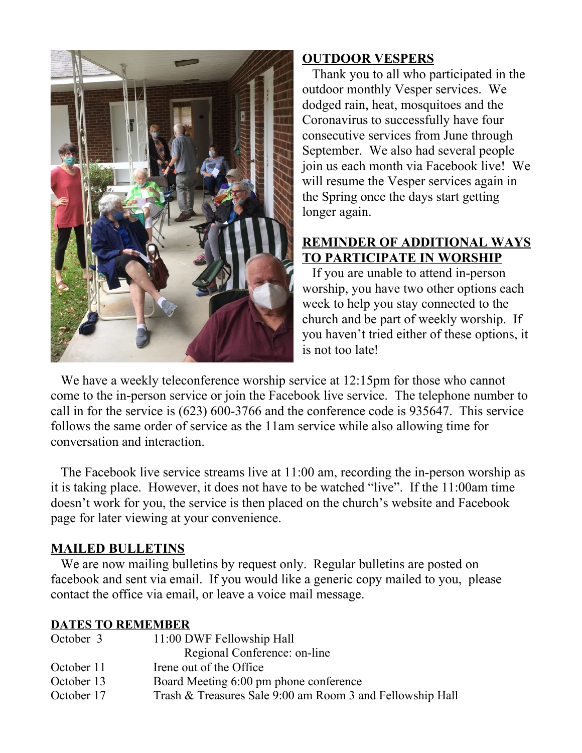

# **OUTDOOR VESPERS**

 Thank you to all who participated in the outdoor monthly Vesper services. We dodged rain, heat, mosquitoes and the Coronavirus to successfully have four consecutive services from June through September. We also had several people join us each month via Facebook live! We will resume the Vesper services again in the Spring once the days start getting longer again.

# **REMINDER OF ADDITIONAL WAYS TO PARTICIPATE IN WORSHIP**

 If you are unable to attend in-person worship, you have two other options each week to help you stay connected to the church and be part of weekly worship. If you haven't tried either of these options, it is not too late!

We have a weekly teleconference worship service at 12:15pm for those who cannot come to the in-person service or join the Facebook live service. The telephone number to call in for the service is (623) 600-3766 and the conference code is 935647. This service follows the same order of service as the 11am service while also allowing time for conversation and interaction.

 The Facebook live service streams live at 11:00 am, recording the in-person worship as it is taking place. However, it does not have to be watched "live". If the 11:00am time doesn't work for you, the service is then placed on the church's website and Facebook page for later viewing at your convenience.

# **MAILED BULLETINS**

 We are now mailing bulletins by request only. Regular bulletins are posted on facebook and sent via email. If you would like a generic copy mailed to you, please contact the office via email, or leave a voice mail message.

## **DATES TO REMEMBER**

| October 3  | 11:00 DWF Fellowship Hall                                 |  |
|------------|-----------------------------------------------------------|--|
|            | Regional Conference: on-line                              |  |
| October 11 | Irene out of the Office                                   |  |
| October 13 | Board Meeting 6:00 pm phone conference                    |  |
| October 17 | Trash & Treasures Sale 9:00 am Room 3 and Fellowship Hall |  |